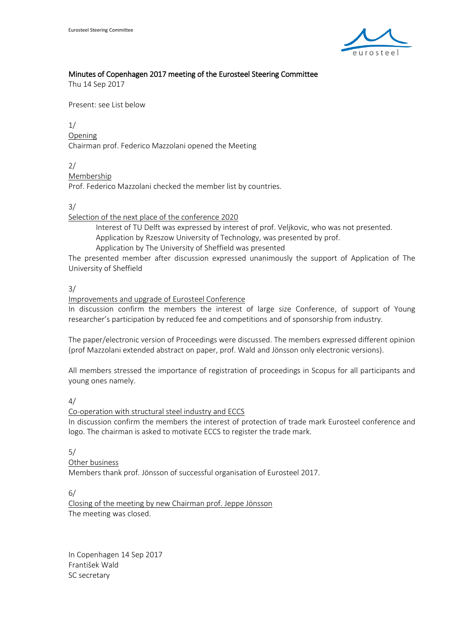

# Minutes of Copenhagen 2017 meeting of the Eurosteel Steering Committee

Thu 14 Sep 2017

Present: see List below

## 1/

**Opening** 

Chairman prof. Federico Mazzolani opened the Meeting

2/

Membership

Prof. Federico Mazzolani checked the member list by countries.

### 3/

Selection of the next place of the conference 2020

Interest of TU Delft was expressed by interest of prof. Veljkovic, who was not presented. Application by Rzeszow University of Technology, was presented by prof. Application by The University of Sheffield was presented

The presented member after discussion expressed unanimously the support of Application of The University of Sheffield

3/

### Improvements and upgrade of Eurosteel Conference

In discussion confirm the members the interest of large size Conference, of support of Young researcher's participation by reduced fee and competitions and of sponsorship from industry.

The paper/electronic version of Proceedings were discussed. The members expressed different opinion (prof Mazzolani extended abstract on paper, prof. Wald and Jönsson only electronic versions).

All members stressed the importance of registration of proceedings in Scopus for all participants and young ones namely.

4/

Co-operation with structural steel industry and ECCS

In discussion confirm the members the interest of protection of trade mark Eurosteel conference and logo. The chairman is asked to motivate ECCS to register the trade mark.

5/

### Other business

Members thank prof. Jönsson of successful organisation of Eurosteel 2017.

6/

Closing of the meeting by new Chairman prof. Jeppe Jönsson The meeting was closed.

In Copenhagen 14 Sep 2017 František Wald SC secretary